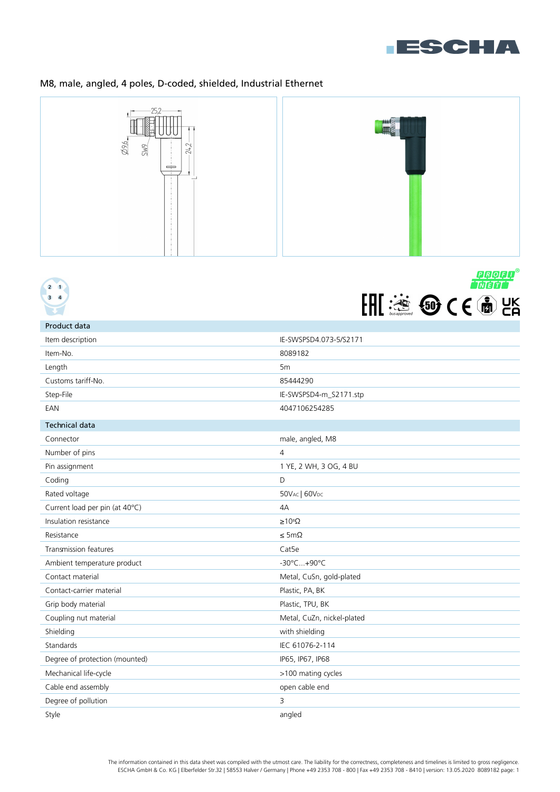

# M8, male, angled, 4 poles, D-coded, shielded, Industrial Ethernet







| Product data                   |                            |
|--------------------------------|----------------------------|
| Item description               | IE-SWSPSD4.073-5/S2171     |
| Item-No.                       | 8089182                    |
| Length                         | 5 <sub>m</sub>             |
| Customs tariff-No.             | 85444290                   |
| Step-File                      | IE-SWSPSD4-m_S2171.stp     |
| EAN                            | 4047106254285              |
| <b>Technical data</b>          |                            |
| Connector                      | male, angled, M8           |
| Number of pins                 | $\overline{4}$             |
| Pin assignment                 | 1 YE, 2 WH, 3 OG, 4 BU     |
| Coding                         | D                          |
| Rated voltage                  | 50VAC   60VDC              |
| Current load per pin (at 40°C) | 4A                         |
| Insulation resistance          | $\geq 10^8 \Omega$         |
| Resistance                     | $\leq$ 5m $\Omega$         |
| <b>Transmission features</b>   | Cat <sub>5e</sub>          |
| Ambient temperature product    | -30°C+90°C                 |
| Contact material               | Metal, CuSn, gold-plated   |
| Contact-carrier material       | Plastic, PA, BK            |
| Grip body material             | Plastic, TPU, BK           |
| Coupling nut material          | Metal, CuZn, nickel-plated |
| Shielding                      | with shielding             |
| Standards                      | IEC 61076-2-114            |
| Degree of protection (mounted) | IP65, IP67, IP68           |
| Mechanical life-cycle          | >100 mating cycles         |
| Cable end assembly             | open cable end             |
| Degree of pollution            | 3                          |
| Style                          | angled                     |